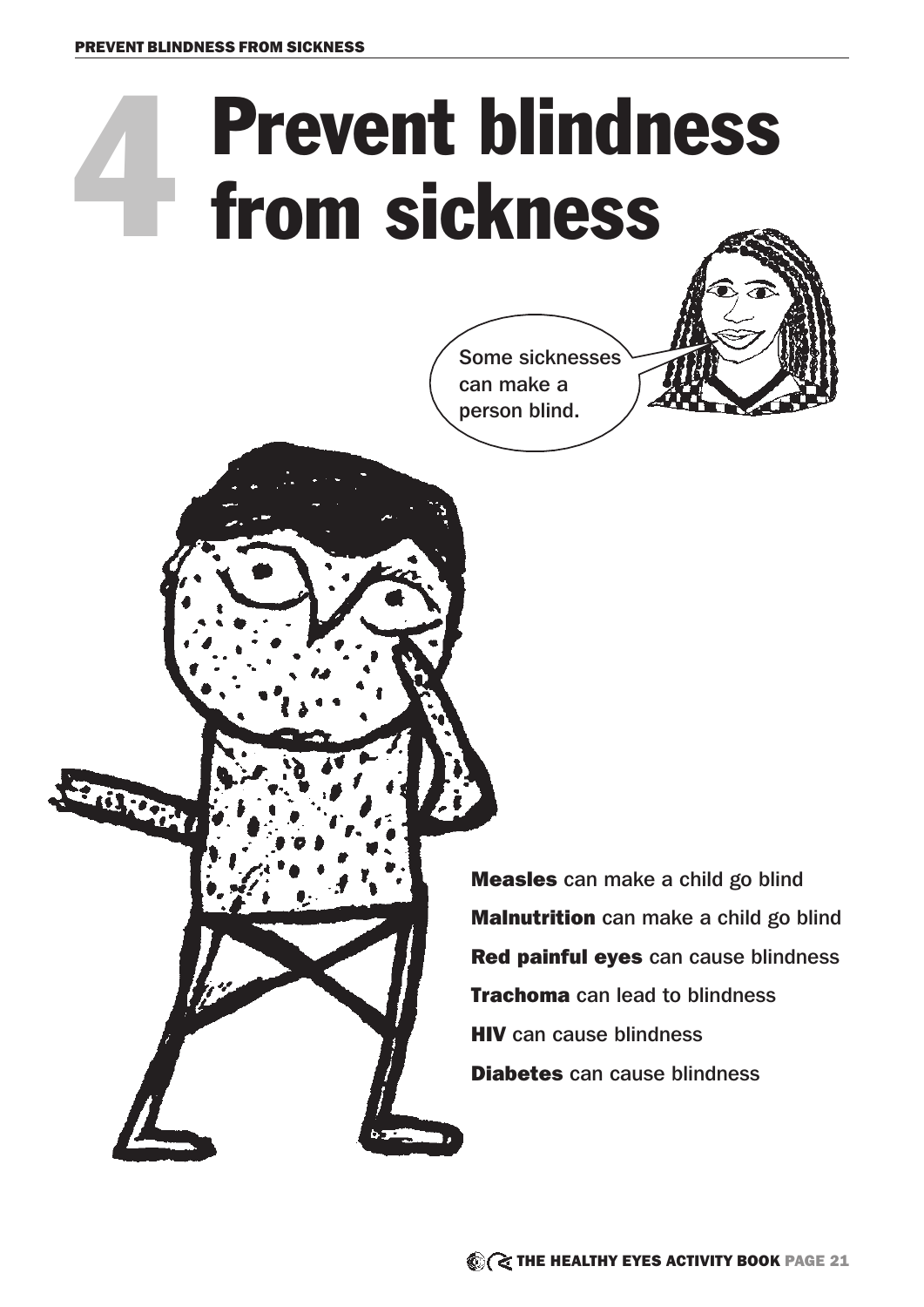arm

# **Prevent blindness**<br>from sickness



Measles can make a child go blind **Malnutrition** can make a child go blind Red painful eyes can cause blindness **Trachoma** can lead to blindness **HIV** can cause blindness Diabetes can cause blindness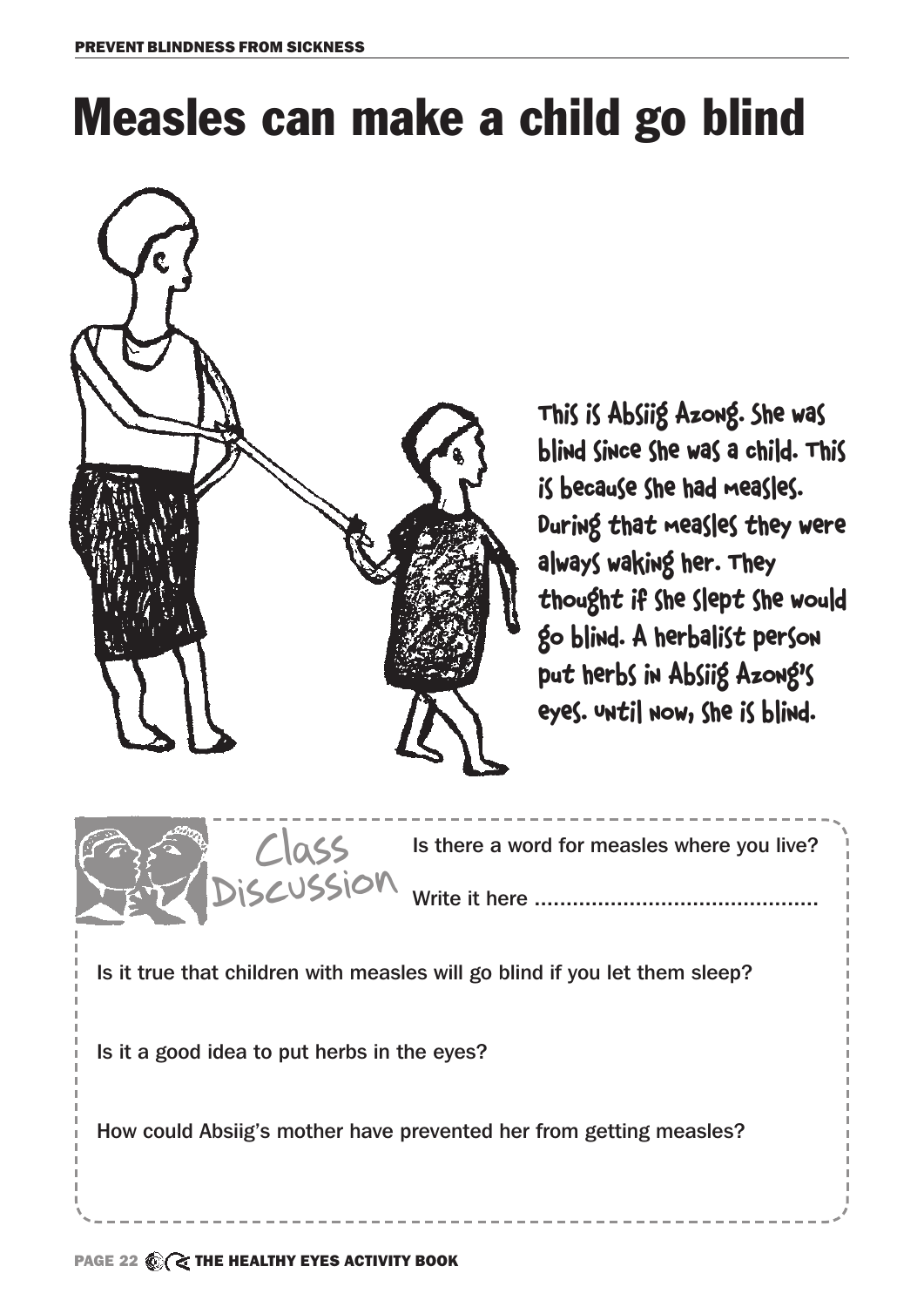### Measles can make a child go blind



This is Absiig Azong. She was blind since she was a child. This is because she had measles. During that measles they were always waking her. They thought if she slept she would go blind. A herbalist person put herbs in Absiig Azong's eyes. Until now, she is blind.



Is it true that children with measles will go blind if you let them sleep?

Is it a good idea to put herbs in the eyes?

How could Absiig's mother have prevented her from getting measles?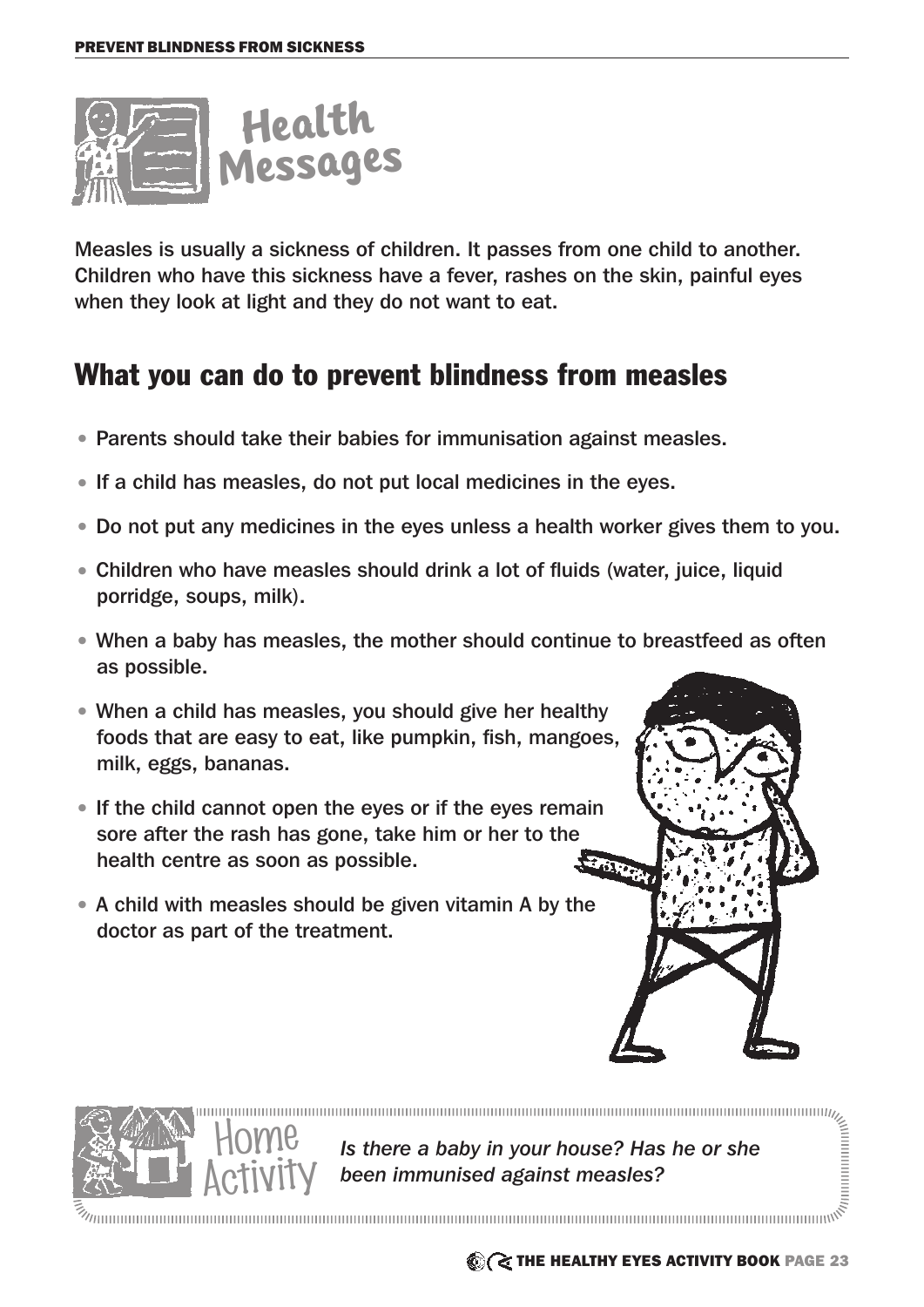

Measles is usually a sickness of children. It passes from one child to another. Children who have this sickness have a fever, rashes on the skin, painful eyes when they look at light and they do not want to eat.

#### What you can do to prevent blindness from measles

- Parents should take their babies for immunisation against measles.
- If a child has measles, do not put local medicines in the eyes.
- Do not put any medicines in the eyes unless a health worker gives them to you.
- Children who have measles should drink a lot of fluids (water, juice, liquid porridge, soups, milk).
- When a baby has measles, the mother should continue to breastfeed as often as possible.
- When a child has measles, you should give her healthy foods that are easy to eat, like pumpkin, fish, mangoes, milk, eggs, bananas.
- If the child cannot open the eyes or if the eyes remain sore after the rash has gone, take him or her to the health centre as soon as possible. **SOR**
- A child with measles should be given vitamin A by the doctor as part of the treatment.

Home



**Solution in the control**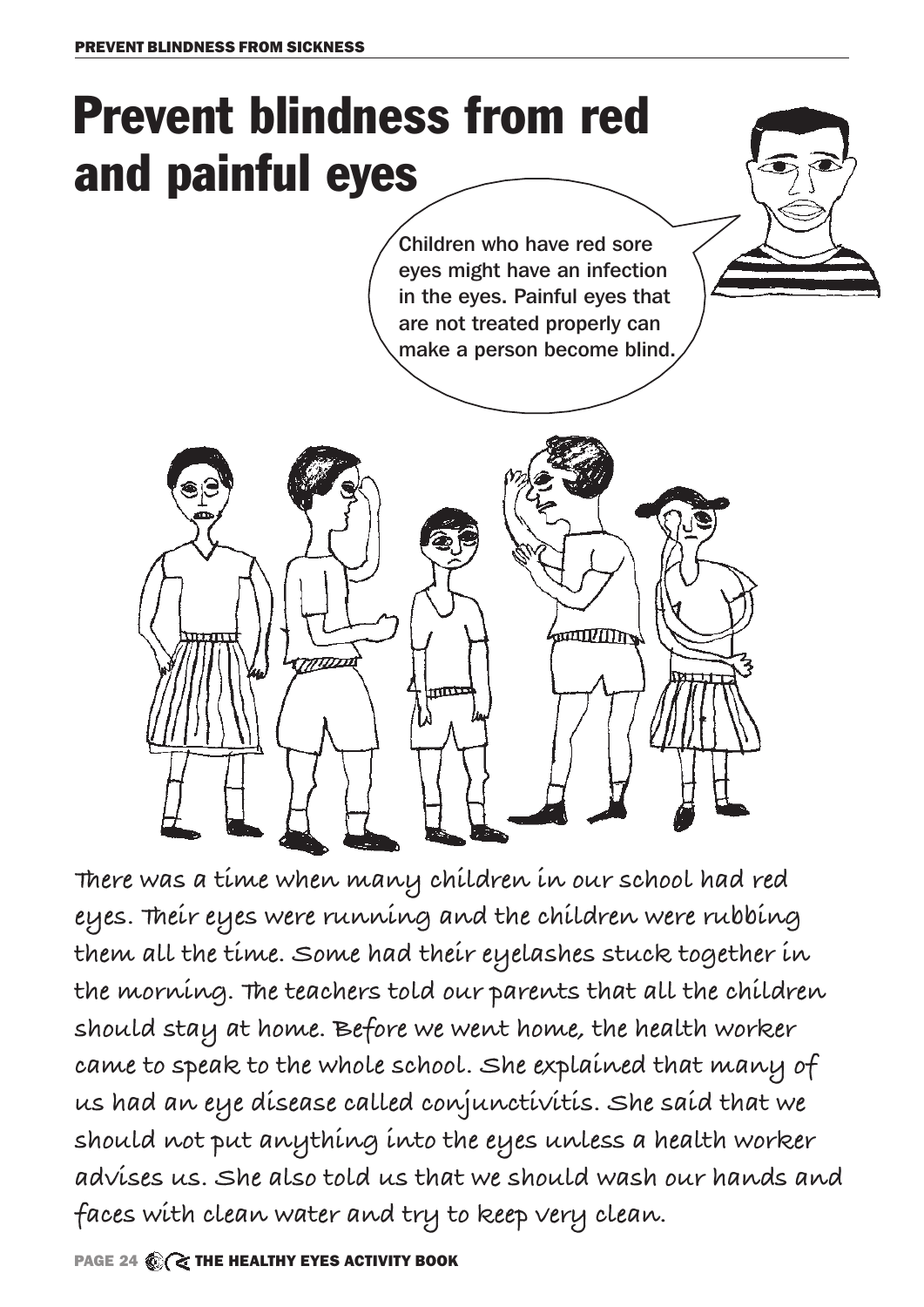## Prevent blindness from red and painful eyes

Children who have red sore eyes might have an infection in the eyes. Painful eyes that are not treated properly can make a person become blind.



**There was a time when many children in our school had red eyes. Their eyes were running and the children were rubbing them all the time. Some had their eyelashes stuck together in the morning. The teachers told our parents that all the children should stay at home. Before we went home, the health worker came to speak to the whole school. She explained that many of us had an eye disease called conjunctivitis. She said that we should not put anything into the eyes unless a health worker advises us. She also told us that we should wash our hands and faces with clean water and try to keep very clean.**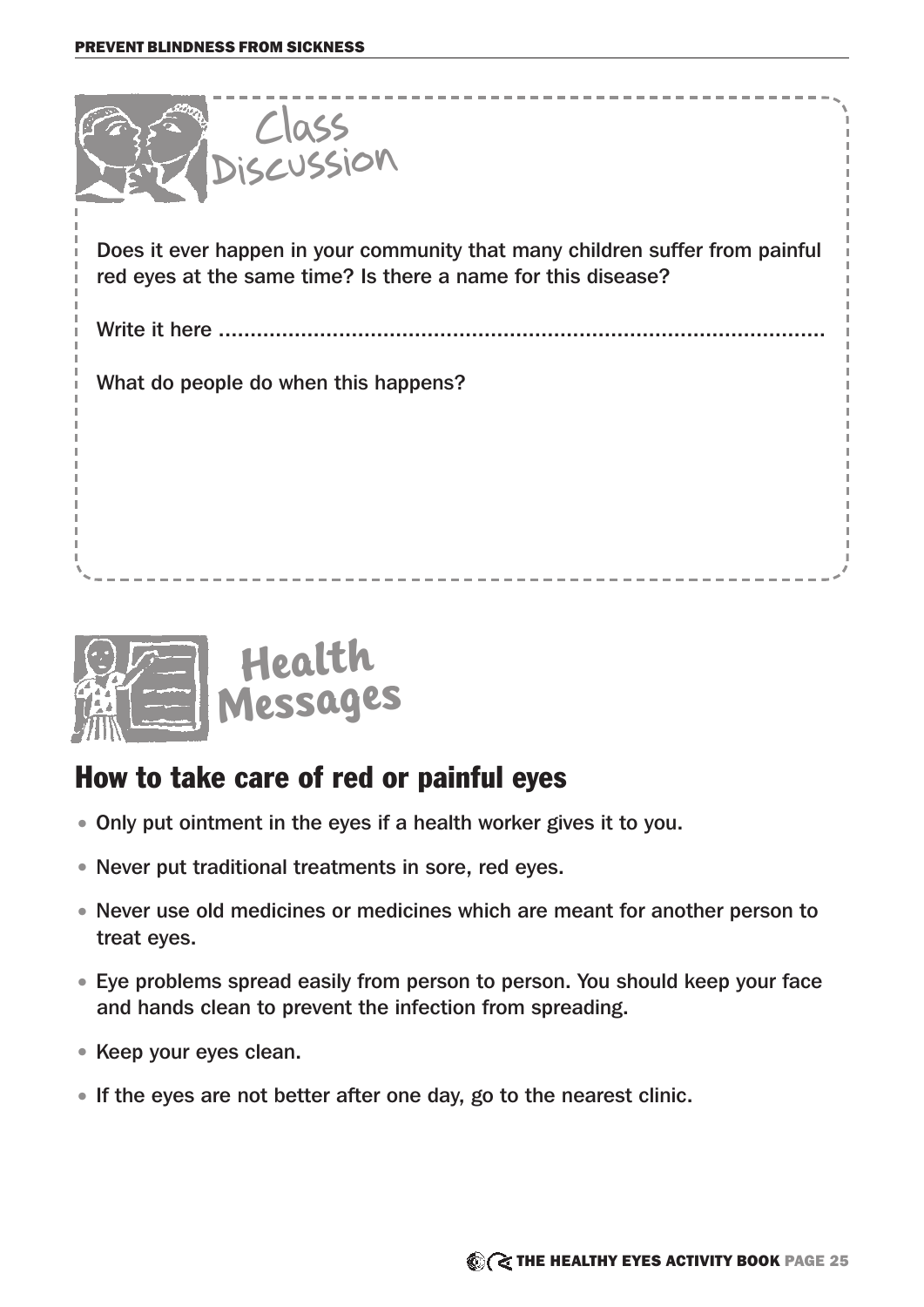



#### How to take care of red or painful eyes

- Only put ointment in the eyes if a health worker gives it to you.
- Never put traditional treatments in sore, red eyes.
- Never use old medicines or medicines which are meant for another person to treat eyes.
- Eye problems spread easily from person to person. You should keep your face and hands clean to prevent the infection from spreading.
- Keep your eyes clean.
- If the eyes are not better after one day, go to the nearest clinic.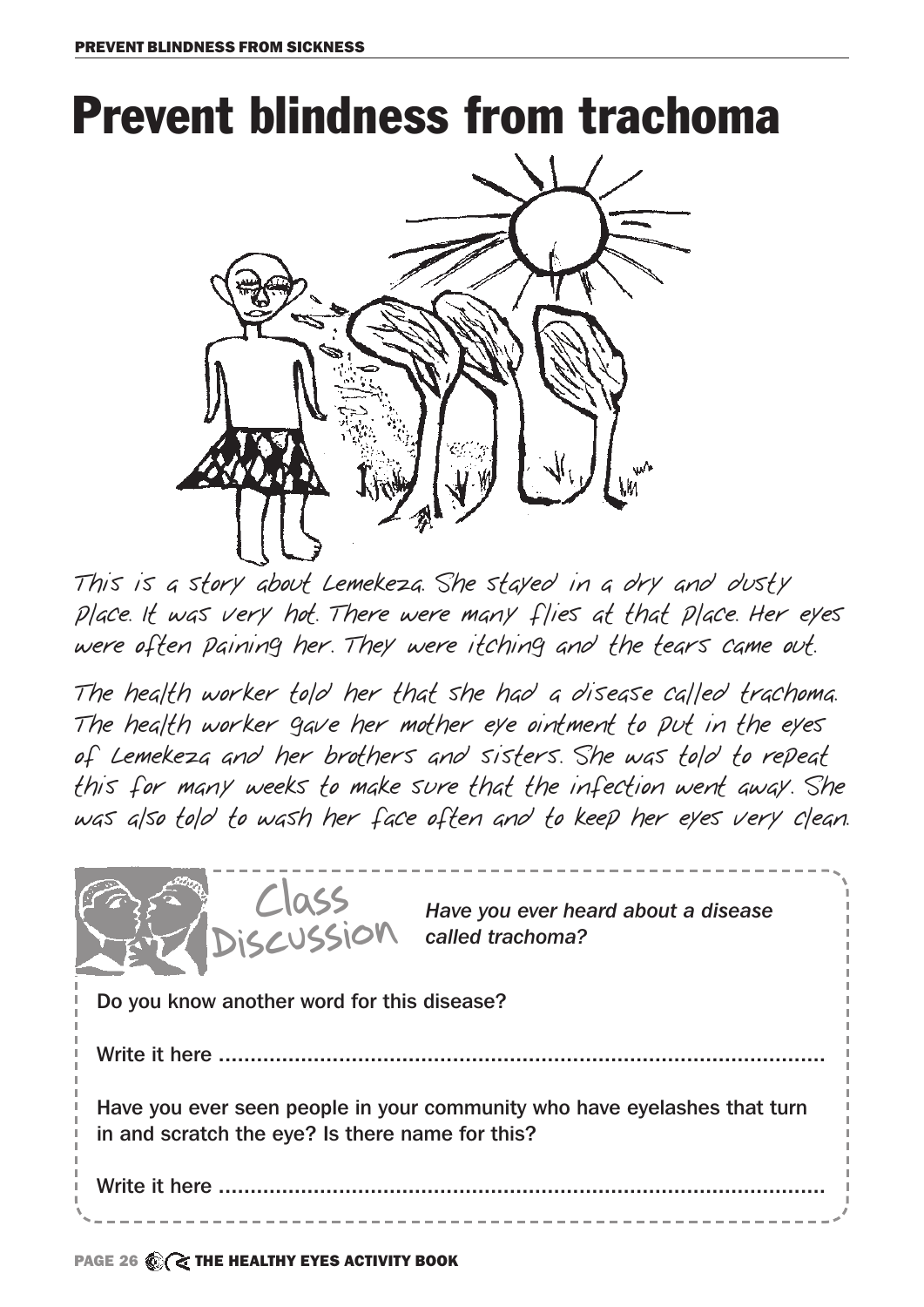### Prevent blindness from trachoma



This is a story about Lemekeza. She stayed in a dry and dusty place. It was very hot. There were many flies at that place. Her eyes were often paining her. They were itching and the tears came out.

The health worker told her that she had a disease called trachoma. The health worker gave her mother eye ointment to put in the eyes of Lemekeza and her brothers and sisters. She was told to repeat this for many weeks to make sure that the infection went away. She was also told to wash her face often and to keep her eyes very clean.



PAGE 26 C THE HEALTHY EYES ACTIVITY BOOK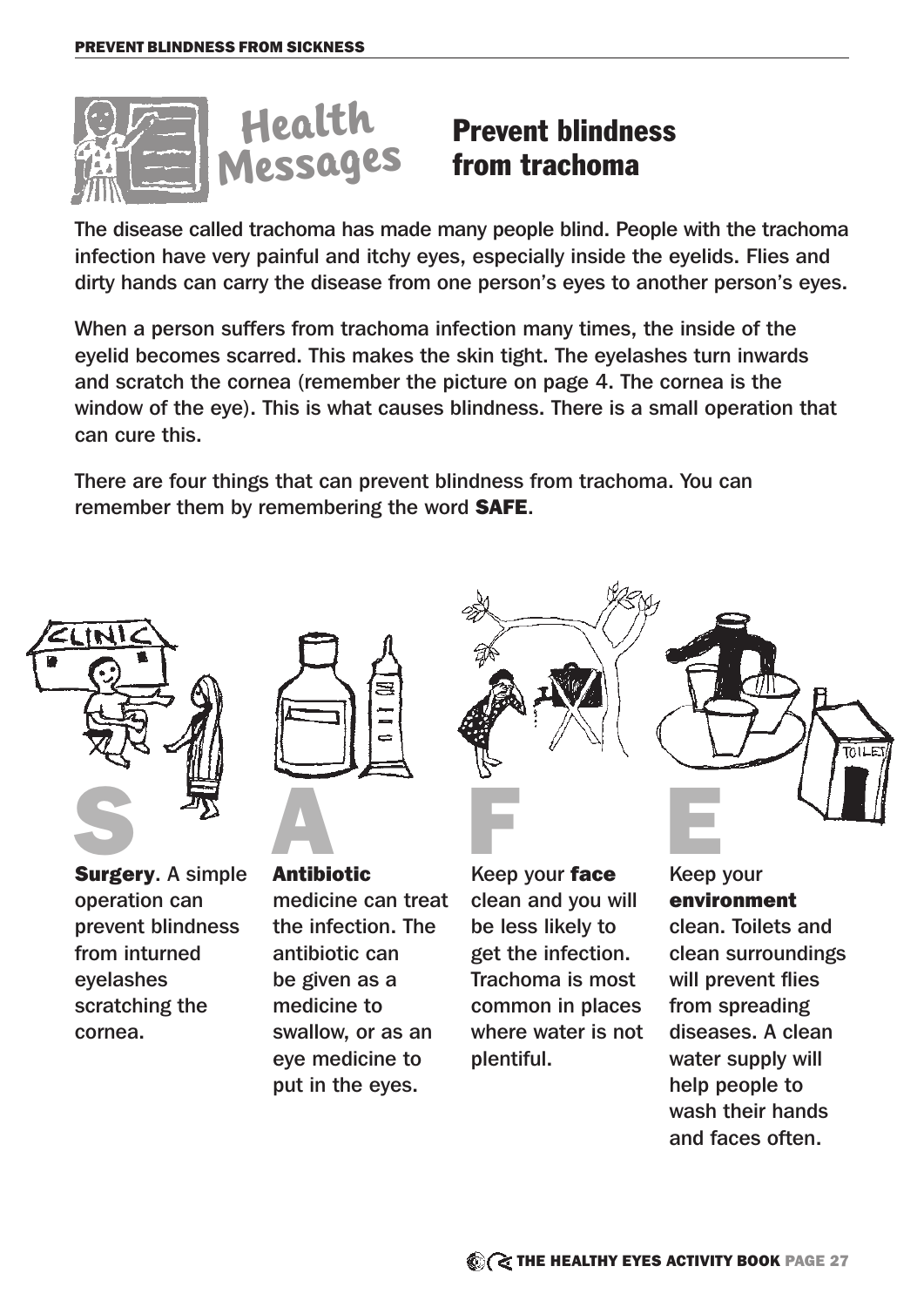

#### **Health** Prevent blindness<br>Messages from trachoma from trachoma

The disease called trachoma has made many people blind. People with the trachoma infection have very painful and itchy eyes, especially inside the eyelids. Flies and dirty hands can carry the disease from one person's eyes to another person's eyes.

When a person suffers from trachoma infection many times, the inside of the eyelid becomes scarred. This makes the skin tight. The eyelashes turn inwards and scratch the cornea (remember the picture on page 4. The cornea is the window of the eye). This is what causes blindness. There is a small operation that can cure this.

There are four things that can prevent blindness from trachoma. You can remember them by remembering the word SAFE.



operation can prevent blindness from inturned eyelashes scratching the cornea.



medicine can treat the infection. The antibiotic can be given as a medicine to swallow, or as an eye medicine to put in the eyes.



Keep your face clean and you will be less likely to get the infection. Trachoma is most common in places where water is not plentiful.



Keep your environment clean. Toilets and clean surroundings will prevent flies from spreading diseases. A clean water supply will help people to wash their hands and faces often.